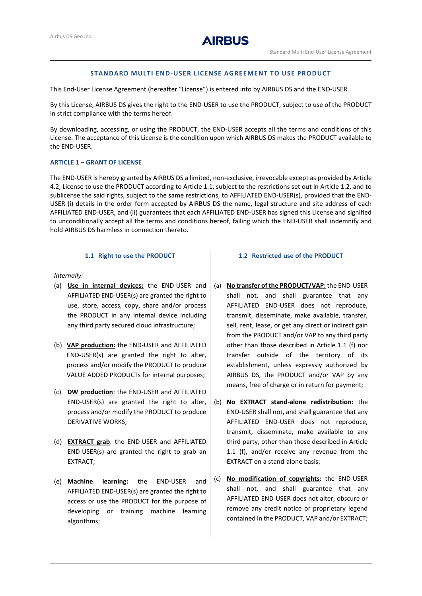

# **STANDARD MULTI END-USER LICENSE AGREEMENT TO USE PRODUCT**

This End-User License Agreement (hereafter "License") is entered into by AIRBUS DS and the END-USER.

By this License, AIRBUS DS gives the right to the END-USER to use the PRODUCT, subject to use of the PRODUCT in strict compliance with the terms hereof.

By downloading, accessing, or using the PRODUCT, the END-USER accepts all the terms and conditions of this License. The acceptance of this License is the condition upon which AIRBUS DS makes the PRODUCT available to the END-USER.

### **ARTICLE 1 – GRANT OF LICENSE**

The END-USER is hereby granted by AIRBUS DS a limited, non-exclusive, irrevocable except as provided by Article [4.2,](#page-2-0) License to use the PRODUCT according to Articl[e 1.1,](#page-0-0) subject to the restrictions set out in Article 1.2, and to sublicense the said rights, subject to the same restrictions, to AFFILIATED END-USER(s), provided that the END-USER (i) details in the order form accepted by AIRBUS DS the name, legal structure and site address of each AFFILIATED END-USER, and (ii) guarantees that each AFFILIATED END-USER has signed this License and signified to unconditionally accept all the terms and conditions hereof, failing which the END-USER shall indemnify and hold AIRBUS DS harmless in connection thereto.

# **1.1 Right to use the PRODUCT**

### <span id="page-0-0"></span>*Internally:*

- (a) **Use in internal devices:** the END-USER and AFFILIATED END-USER(s) are granted the right to use, store, access, copy, share and/or process the PRODUCT in any internal device including any third party secured cloud infrastructure;
- (b) **VAP production:** the END-USER and AFFILIATED END-USER(s) are granted the right to alter, process and/or modify the PRODUCT to produce VALUE ADDED PRODUCTs for internal purposes;
- (c) **DW production**: the END-USER and AFFILIATED END-USER(s) are granted the right to alter, process and/or modify the PRODUCT to produce DERIVATIVE WORKS;
- (d) **EXTRACT grab**: the END-USER and AFFILIATED END-USER(s) are granted the right to grab an EXTRACT;
- (e) **Machine learning:** the END-USER and AFFILIATED END-USER(s) are granted the right to access or use the PRODUCT for the purpose of developing or training machine learning algorithms;

#### **1.2 Restricted use of the PRODUCT**

- (a) **No transfer of the PRODUCT/VAP:** the END-USER shall not, and shall guarantee that any AFFILIATED END-USER does not reproduce, transmit, disseminate, make available, transfer, sell, rent, lease, or get any direct or indirect gain from the PRODUCT and/or VAP to any third party other than those described in Article 1.1 [\(f\)](#page-1-0) nor transfer outside of the territory of its establishment, unless expressly authorized by AIRBUS DS, the PRODUCT and/or VAP by any means, free of charge or in return for payment;
- (b) **No EXTRACT stand-alone redistribution:** the END-USER shall not, and shall guarantee that any AFFILIATED END-USER does not reproduce, transmit, disseminate, make available to any third party, other than those described in Article 1.1 [\(f\),](#page-1-0) and/or receive any revenue from the EXTRACT on a stand-alone basis;
- (c) **No modification of copyrights:** the END-USER shall not, and shall guarantee that any AFFILIATED END-USER does not alter, obscure or remove any credit notice or proprietary legend contained in the PRODUCT, VAP and/or EXTRACT;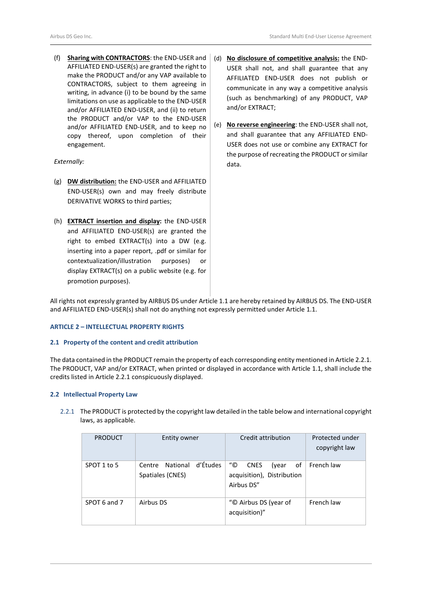<span id="page-1-0"></span>(f) **Sharing with CONTRACTORS**: the END-USER and AFFILIATED END-USER(s) are granted the right to make the PRODUCT and/or any VAP available to CONTRACTORS, subject to them agreeing in writing, in advance (i) to be bound by the same limitations on use as applicable to the END-USER and/or AFFILIATED END-USER, and (ii) to return the PRODUCT and/or VAP to the END-USER and/or AFFILIATED END-USER, and to keep no copy thereof, upon completion of their engagement.

#### *Externally:*

- (g) **DW distribution:** the END-USER and AFFILIATED END-USER(s) own and may freely distribute DERIVATIVE WORKS to third parties;
- (h) **EXTRACT insertion and display:** the END-USER and AFFILIATED END-USER(s) are granted the right to embed EXTRACT(s) into a DW (e.g. inserting into a paper report, .pdf or similar for contextualization/illustration purposes) or display EXTRACT(s) on a public website (e.g. for promotion purposes).
- (d) **No disclosure of competitive analysis:** the END-USER shall not, and shall guarantee that any AFFILIATED END-USER does not publish or communicate in any way a competitive analysis (such as benchmarking) of any PRODUCT, VAP and/or EXTRACT;
- (e) **No reverse engineering**: the END-USER shall not, and shall guarantee that any AFFILIATED END-USER does not use or combine any EXTRACT for the purpose of recreating the PRODUCT or similar data.

All rights not expressly granted by AIRBUS DS under Articl[e 1.1](#page-0-0) are hereby retained by AIRBUS DS. The END-USER and AFFILIATED END-USER(s) shall not do anything not expressly permitted under Articl[e 1.1.](#page-0-0)

#### **ARTICLE 2 – INTELLECTUAL PROPERTY RIGHTS**

#### **2.1 Property of the content and credit attribution**

The data contained in the PRODUCT remain the property of each corresponding entity mentioned in Article 2.2.1. The PRODUCT, VAP and/or EXTRACT, when printed or displayed in accordance with Articl[e 1.1,](#page-0-0) shall include the credits listed in Article 2.2.1 conspicuously displayed.

#### **2.2 Intellectual Property Law**

2.2.1 The PRODUCT is protected by the copyright law detailed in the table below and international copyright laws, as applicable.

| <b>PRODUCT</b> | Entity owner                                    | Credit attribution                                                           | Protected under<br>copyright law |
|----------------|-------------------------------------------------|------------------------------------------------------------------------------|----------------------------------|
| SPOT 1 to 5    | d'Études<br>Centre National<br>Spatiales (CNES) | "©<br><b>CNES</b><br>οf<br>(year<br>acquisition), Distribution<br>Airbus DS" | French law                       |
| SPOT 6 and 7   | Airbus DS                                       | "© Airbus DS (year of<br>acquisition)"                                       | French law                       |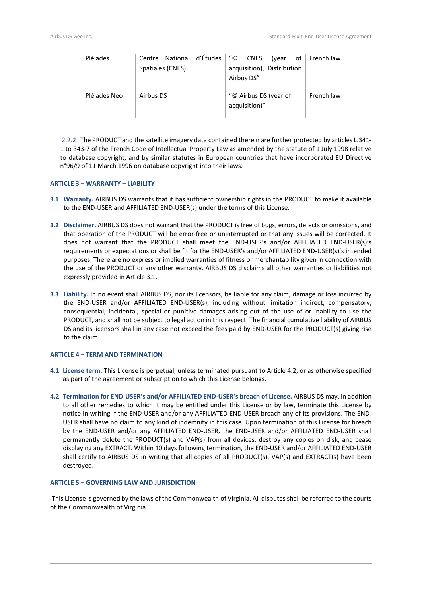| Pléjades     | d'Études<br>Centre National | "©<br><b>CNES</b><br>(year | of $\vert$ French law |
|--------------|-----------------------------|----------------------------|-----------------------|
|              | Spatiales (CNES)            | acquisition), Distribution |                       |
|              |                             | Airbus DS"                 |                       |
|              |                             |                            |                       |
| Pléjades Neo | Airbus DS                   | "© Airbus DS (year of      | French law            |
|              |                             | acquisition)"              |                       |
|              |                             |                            |                       |

2.2.2 The PRODUCT and the satellite imagery data contained therein are further protected by articles L.341- 1 to 343-7 of the French Code of Intellectual Property Law as amended by the statute of 1 July 1998 relative to database copyright, and by similar statutes in European countries that have incorporated EU Directive n°96/9 of 11 March 1996 on database copyright into their laws.

### **ARTICLE 3 – WARRANTY – LIABILITY**

- <span id="page-2-1"></span>**3.1 Warranty.** AIRBUS DS warrants that it has sufficient ownership rights in the PRODUCT to make it available to the END-USER and AFFILIATED END-USER(s) under the terms of this License.
- **3.2 Disclaimer.** AIRBUS DS does not warrant that the PRODUCT is free of bugs, errors, defects or omissions, and that operation of the PRODUCT will be error-free or uninterrupted or that any issues will be corrected. It does not warrant that the PRODUCT shall meet the END-USER's and/or AFFILIATED END-USER(s)'s requirements or expectations or shall be fit for the END-USER's and/or AFFILIATED END-USER(s)'s intended purposes. There are no express or implied warranties of fitness or merchantability given in connection with the use of the PRODUCT or any other warranty. AIRBUS DS disclaims all other warranties or liabilities not expressly provided in Article [3.1.](#page-2-1)
- **3.3 Liability.** In no event shall AIRBUS DS, nor its licensors, be liable for any claim, damage or loss incurred by the END-USER and/or AFFILIATED END-USER(s), including without limitation indirect, compensatory, consequential, incidental, special or punitive damages arising out of the use of or inability to use the PRODUCT, and shall not be subject to legal action in this respect. The financial cumulative liability of AIRBUS DS and its licensors shall in any case not exceed the fees paid by END-USER for the PRODUCT(s) giving rise to the claim.

#### **ARTICLE 4 – TERM AND TERMINATION**

- **4.1 License term.** This License is perpetual, unless terminated pursuant to Articl[e 4.2,](#page-2-0) or as otherwise specified as part of the agreement or subscription to which this License belongs.
- <span id="page-2-0"></span>**4.2 Termination for END**-**USER's and/or AFFILIATED END-USER's breach of License.** AIRBUS DS may, in addition to all other remedies to which it may be entitled under this License or by law, terminate this License by notice in writing if the END-USER and/or any AFFILIATED END-USER breach any of its provisions. The END-USER shall have no claim to any kind of indemnity in this case. Upon termination of this License for breach by the END-USER and/or any AFFILIATED END-USER, the END-USER and/or AFFILIATED END-USER shall permanently delete the PRODUCT(s) and VAP(s) from all devices, destroy any copies on disk, and cease displaying any EXTRACT. Within 10 days following termination, the END-USER and/or AFFILIATED END-USER shall certify to AIRBUS DS in writing that all copies of all PRODUCT(s), VAP(s) and EXTRACT(s) have been destroyed.

## **ARTICLE 5 – GOVERNING LAW AND JURISDICTION**

This License is governed by the laws of the Commonwealth of Virginia. All disputes shall be referred to the courts of the Commonwealth of Virginia.